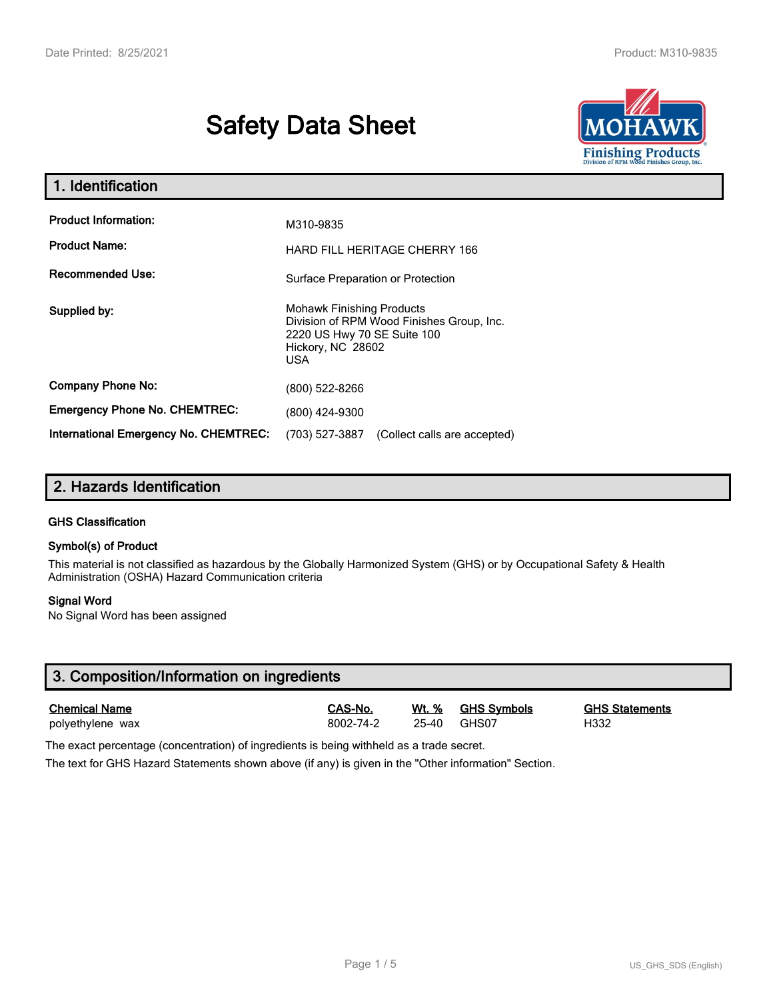# **Safety Data Sheet**



| 1. Identification                                   |                                                                                                                                                 |  |  |
|-----------------------------------------------------|-------------------------------------------------------------------------------------------------------------------------------------------------|--|--|
| <b>Product Information:</b><br><b>Product Name:</b> | M310-9835<br><b>HARD FILL HERITAGE CHERRY 166</b>                                                                                               |  |  |
| <b>Recommended Use:</b>                             | Surface Preparation or Protection                                                                                                               |  |  |
| Supplied by:                                        | <b>Mohawk Finishing Products</b><br>Division of RPM Wood Finishes Group, Inc.<br>2220 US Hwy 70 SE Suite 100<br>Hickory, NC 28602<br><b>USA</b> |  |  |
| <b>Company Phone No:</b>                            | (800) 522-8266                                                                                                                                  |  |  |
| <b>Emergency Phone No. CHEMTREC:</b>                | (800) 424-9300                                                                                                                                  |  |  |
| <b>International Emergency No. CHEMTREC:</b>        | (703) 527-3887<br>(Collect calls are accepted)                                                                                                  |  |  |

# **2. Hazards Identification**

#### **GHS Classification**

#### **Symbol(s) of Product**

This material is not classified as hazardous by the Globally Harmonized System (GHS) or by Occupational Safety & Health Administration (OSHA) Hazard Communication criteria

#### **Signal Word**

No Signal Word has been assigned

| 3. Composition/Information on ingredients |           |       |                    |                       |  |
|-------------------------------------------|-----------|-------|--------------------|-----------------------|--|
| <b>Chemical Name</b>                      | CAS-No.   | Wt. % | <u>GHS Symbols</u> | <b>GHS Statements</b> |  |
| polyethylene wax                          | 8002-74-2 | 25-40 | GHS07              | H332                  |  |

The exact percentage (concentration) of ingredients is being withheld as a trade secret.

The text for GHS Hazard Statements shown above (if any) is given in the "Other information" Section.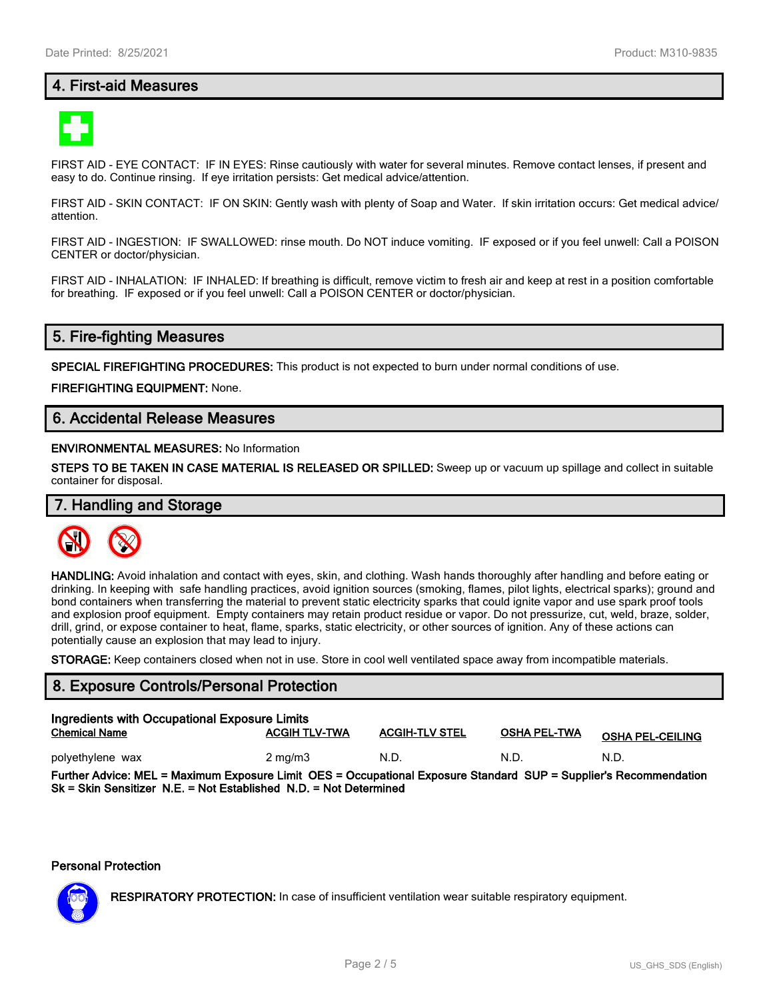# **4. First-aid Measures**



FIRST AID - EYE CONTACT: IF IN EYES: Rinse cautiously with water for several minutes. Remove contact lenses, if present and easy to do. Continue rinsing. If eye irritation persists: Get medical advice/attention.

FIRST AID - SKIN CONTACT: IF ON SKIN: Gently wash with plenty of Soap and Water. If skin irritation occurs: Get medical advice/ attention.

FIRST AID - INGESTION: IF SWALLOWED: rinse mouth. Do NOT induce vomiting. IF exposed or if you feel unwell: Call a POISON CENTER or doctor/physician.

FIRST AID - INHALATION: IF INHALED: If breathing is difficult, remove victim to fresh air and keep at rest in a position comfortable for breathing. IF exposed or if you feel unwell: Call a POISON CENTER or doctor/physician.

# **5. Fire-fighting Measures**

**SPECIAL FIREFIGHTING PROCEDURES:** This product is not expected to burn under normal conditions of use.

**FIREFIGHTING EQUIPMENT:** None.

# **6. Accidental Release Measures**

#### **ENVIRONMENTAL MEASURES:** No Information

**STEPS TO BE TAKEN IN CASE MATERIAL IS RELEASED OR SPILLED:** Sweep up or vacuum up spillage and collect in suitable container for disposal.

# **7. Handling and Storage**



**HANDLING:** Avoid inhalation and contact with eyes, skin, and clothing. Wash hands thoroughly after handling and before eating or drinking. In keeping with safe handling practices, avoid ignition sources (smoking, flames, pilot lights, electrical sparks); ground and bond containers when transferring the material to prevent static electricity sparks that could ignite vapor and use spark proof tools and explosion proof equipment. Empty containers may retain product residue or vapor. Do not pressurize, cut, weld, braze, solder, drill, grind, or expose container to heat, flame, sparks, static electricity, or other sources of ignition. Any of these actions can potentially cause an explosion that may lead to injury.

**STORAGE:** Keep containers closed when not in use. Store in cool well ventilated space away from incompatible materials.

#### **8. Exposure Controls/Personal Protection**

| Ingredients with Occupational Exposure Limits<br><b>Chemical Name</b>                                             | <b>ACGIH TLV-TWA</b> | <b>ACGIH-TLV STEL</b> | <b>OSHA PEL-TWA</b> | <b>OSHA PEL-CEILING</b> |  |
|-------------------------------------------------------------------------------------------------------------------|----------------------|-----------------------|---------------------|-------------------------|--|
| polyethylene wax                                                                                                  | $2 \text{ ma/m}$ 3   | N.D.                  | N.D.                | N.D.                    |  |
| Further Advice: MEL = Maximum Exposure Limit OES = Occupational Exposure Standard SUP = Supplier's Recommendation |                      |                       |                     |                         |  |

**Sk = Skin Sensitizer N.E. = Not Established N.D. = Not Determined**

#### **Personal Protection**



**RESPIRATORY PROTECTION:** In case of insufficient ventilation wear suitable respiratory equipment.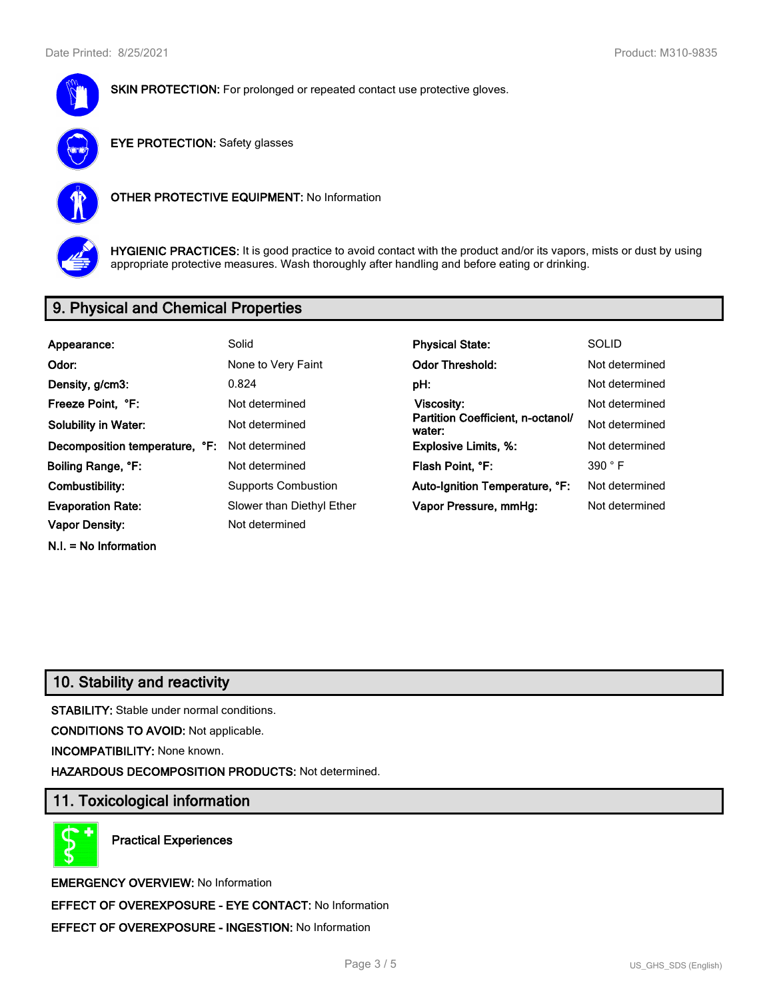



**EYE PROTECTION:** Safety glasses



**OTHER PROTECTIVE EQUIPMENT:** No Information



**HYGIENIC PRACTICES:** It is good practice to avoid contact with the product and/or its vapors, mists or dust by using appropriate protective measures. Wash thoroughly after handling and before eating or drinking.

# **9. Physical and Chemical Properties**

| Appearance:                    | Solid                      | <b>Physical State:</b>                      | <b>SOLID</b>   |
|--------------------------------|----------------------------|---------------------------------------------|----------------|
| Odor:                          | None to Very Faint         | <b>Odor Threshold:</b>                      | Not determined |
| Density, g/cm3:                | 0.824                      | pH:                                         | Not determined |
| Freeze Point, °F:              | Not determined             | Viscosity:                                  | Not determined |
| <b>Solubility in Water:</b>    | Not determined             | Partition Coefficient, n-octanol/<br>water: | Not determined |
| Decomposition temperature, °F: | Not determined             | <b>Explosive Limits, %:</b>                 | Not determined |
| Boiling Range, °F:             | Not determined             | Flash Point, °F:                            | 390 °F         |
| Combustibility:                | <b>Supports Combustion</b> | Auto-Ignition Temperature, °F:              | Not determined |
| <b>Evaporation Rate:</b>       | Slower than Diethyl Ether  | Vapor Pressure, mmHg:                       | Not determined |
| <b>Vapor Density:</b>          | Not determined             |                                             |                |
| $N.I. = No$ Information        |                            |                                             |                |

# **10. Stability and reactivity**

**STABILITY:** Stable under normal conditions.

**CONDITIONS TO AVOID:** Not applicable.

**INCOMPATIBILITY:** None known.

**HAZARDOUS DECOMPOSITION PRODUCTS:** Not determined.

# **11. Toxicological information**

**Practical Experiences**

**EMERGENCY OVERVIEW:** No Information **EFFECT OF OVEREXPOSURE - EYE CONTACT:** No Information **EFFECT OF OVEREXPOSURE - INGESTION:** No Information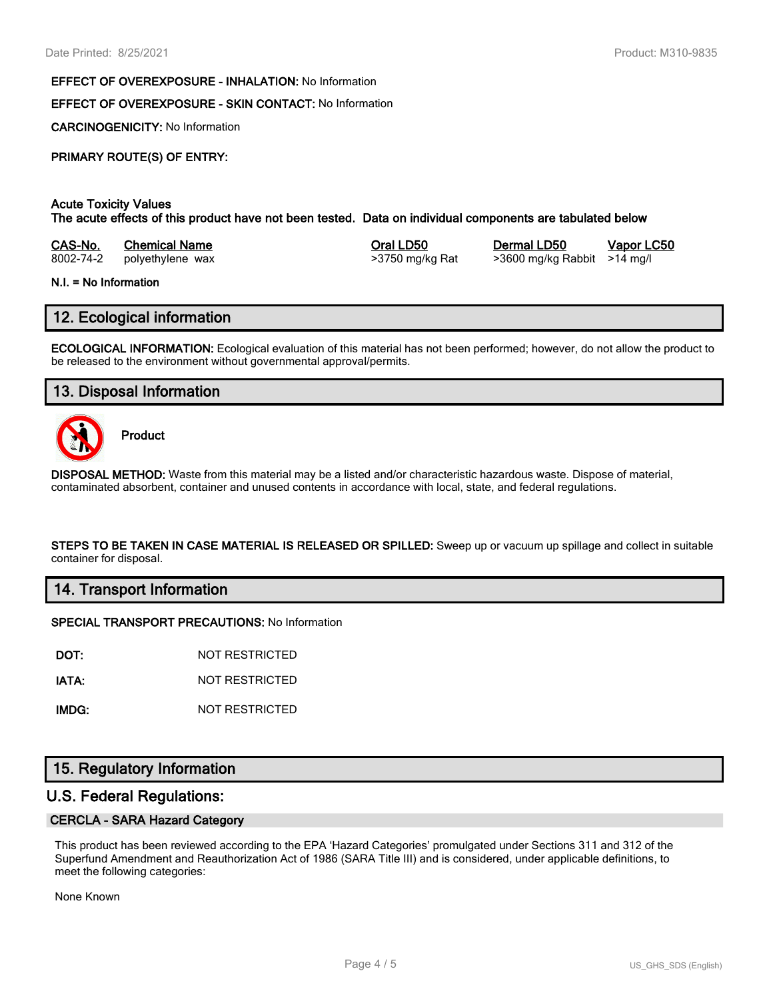#### **EFFECT OF OVEREXPOSURE - INHALATION:** No Information

### **EFFECT OF OVEREXPOSURE - SKIN CONTACT:** No Information

**CARCINOGENICITY:** No Information

## **PRIMARY ROUTE(S) OF ENTRY:**

#### **Acute Toxicity Values**

**The acute effects of this product have not been tested. Data on individual components are tabulated below**

| CAS-No.   | <b>Chemical Name</b> |
|-----------|----------------------|
| 8002-74-2 | polvethylene wax     |

8002-74-2 polyethylene wax >3750 mg/kg Rat >3600 mg/kg Rabbit >14 mg/l

**Casa-No. 25 Co. 25 Co. 25 Co. 25 Co. 25 Co. 25 Co. 25 Co. 25 Co. 25 Co. 25 Co. 25 Co. 25 Co. 25 Co. 25 Co. 25 Co. 25 Co. 25 Co. 25 Co. 25 Co. 25 Co. 25 Co. 25 Co. 25 Co. 25 Co. 25 Co. 25 Co. 25 Co. 25 Co. 25 Co. 25 Co. 25** 

# **N.I. = No Information**

# **12. Ecological information**

**ECOLOGICAL INFORMATION:** Ecological evaluation of this material has not been performed; however, do not allow the product to be released to the environment without governmental approval/permits.

# **13. Disposal Information**



**Product**

**DISPOSAL METHOD:** Waste from this material may be a listed and/or characteristic hazardous waste. Dispose of material, contaminated absorbent, container and unused contents in accordance with local, state, and federal regulations.

**STEPS TO BE TAKEN IN CASE MATERIAL IS RELEASED OR SPILLED:** Sweep up or vacuum up spillage and collect in suitable container for disposal.

## **14. Transport Information**

#### **SPECIAL TRANSPORT PRECAUTIONS:** No Information

**DOT:** NOT RESTRICTED

**IATA:** NOT RESTRICTED

**IMDG:** NOT RESTRICTED

## **15. Regulatory Information**

## **U.S. Federal Regulations:**

#### **CERCLA - SARA Hazard Category**

This product has been reviewed according to the EPA 'Hazard Categories' promulgated under Sections 311 and 312 of the Superfund Amendment and Reauthorization Act of 1986 (SARA Title III) and is considered, under applicable definitions, to meet the following categories:

None Known